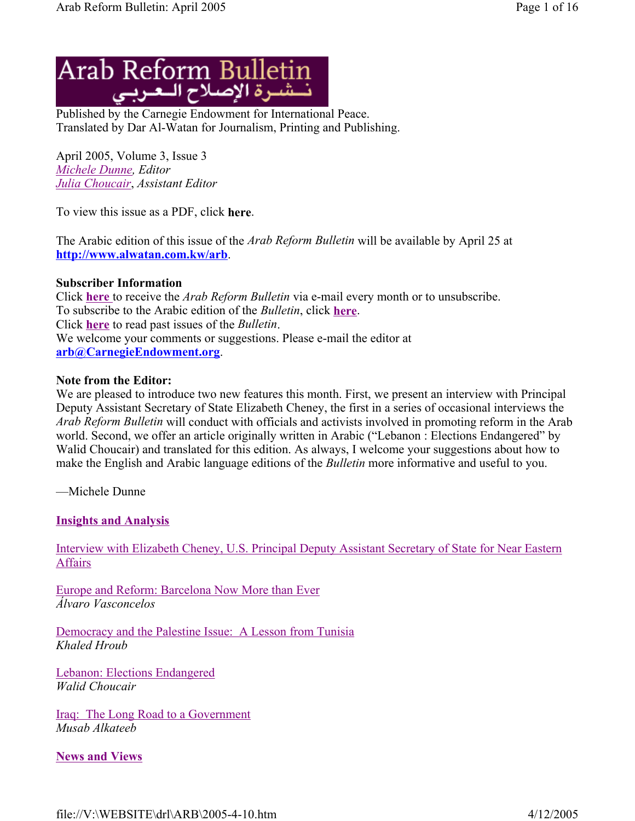

Published by the Carnegie Endowment for International Peace. Translated by Dar Al-Watan for Journalism, Printing and Publishing.

April 2005, Volume 3, Issue 3 *Michele Dunne, Editor Julia Choucair*, *Assistant Editor*

To view this issue as a PDF, click **here**.

The Arabic edition of this issue of the *Arab Reform Bulletin* will be available by April 25 at **http://www.alwatan.com.kw/arb**.

#### **Subscriber Information**

Click **here** to receive the *Arab Reform Bulletin* via e-mail every month or to unsubscribe. To subscribe to the Arabic edition of the *Bulletin*, click **here**. Click **here** to read past issues of the *Bulletin*. We welcome your comments or suggestions. Please e-mail the editor at **arb@CarnegieEndowment.org**.

#### **Note from the Editor:**

We are pleased to introduce two new features this month. First, we present an interview with Principal Deputy Assistant Secretary of State Elizabeth Cheney, the first in a series of occasional interviews the *Arab Reform Bulletin* will conduct with officials and activists involved in promoting reform in the Arab world. Second, we offer an article originally written in Arabic ("Lebanon : Elections Endangered" by Walid Choucair) and translated for this edition. As always, I welcome your suggestions about how to make the English and Arabic language editions of the *Bulletin* more informative and useful to you.

—Michele Dunne

### **Insights and Analysis**

Interview with Elizabeth Cheney, U.S. Principal Deputy Assistant Secretary of State for Near Eastern **Affairs** 

Europe and Reform: Barcelona Now More than Ever *Álvaro Vasconcelos* 

Democracy and the Palestine Issue: A Lesson from Tunisia *Khaled Hroub*

Lebanon: Elections Endangered *Walid Choucair* 

Iraq: The Long Road to a Government *Musab Alkateeb* 

**News and Views**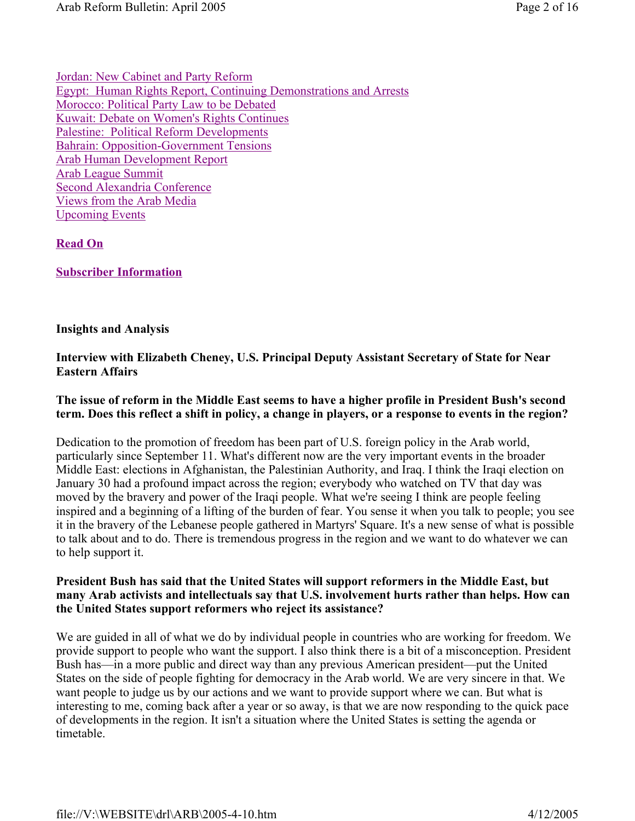Jordan: New Cabinet and Party Reform Egypt: Human Rights Report, Continuing Demonstrations and Arrests Morocco: Political Party Law to be Debated Kuwait: Debate on Women's Rights Continues Palestine: Political Reform Developments Bahrain: Opposition-Government Tensions Arab Human Development Report Arab League Summit Second Alexandria Conference Views from the Arab Media Upcoming Events

# **Read On**

**Subscriber Information**

### **Insights and Analysis**

# **Interview with Elizabeth Cheney, U.S. Principal Deputy Assistant Secretary of State for Near Eastern Affairs**

### **The issue of reform in the Middle East seems to have a higher profile in President Bush's second term. Does this reflect a shift in policy, a change in players, or a response to events in the region?**

Dedication to the promotion of freedom has been part of U.S. foreign policy in the Arab world, particularly since September 11. What's different now are the very important events in the broader Middle East: elections in Afghanistan, the Palestinian Authority, and Iraq. I think the Iraqi election on January 30 had a profound impact across the region; everybody who watched on TV that day was moved by the bravery and power of the Iraqi people. What we're seeing I think are people feeling inspired and a beginning of a lifting of the burden of fear. You sense it when you talk to people; you see it in the bravery of the Lebanese people gathered in Martyrs' Square. It's a new sense of what is possible to talk about and to do. There is tremendous progress in the region and we want to do whatever we can to help support it.

### **President Bush has said that the United States will support reformers in the Middle East, but many Arab activists and intellectuals say that U.S. involvement hurts rather than helps. How can the United States support reformers who reject its assistance?**

We are guided in all of what we do by individual people in countries who are working for freedom. We provide support to people who want the support. I also think there is a bit of a misconception. President Bush has—in a more public and direct way than any previous American president—put the United States on the side of people fighting for democracy in the Arab world. We are very sincere in that. We want people to judge us by our actions and we want to provide support where we can. But what is interesting to me, coming back after a year or so away, is that we are now responding to the quick pace of developments in the region. It isn't a situation where the United States is setting the agenda or timetable.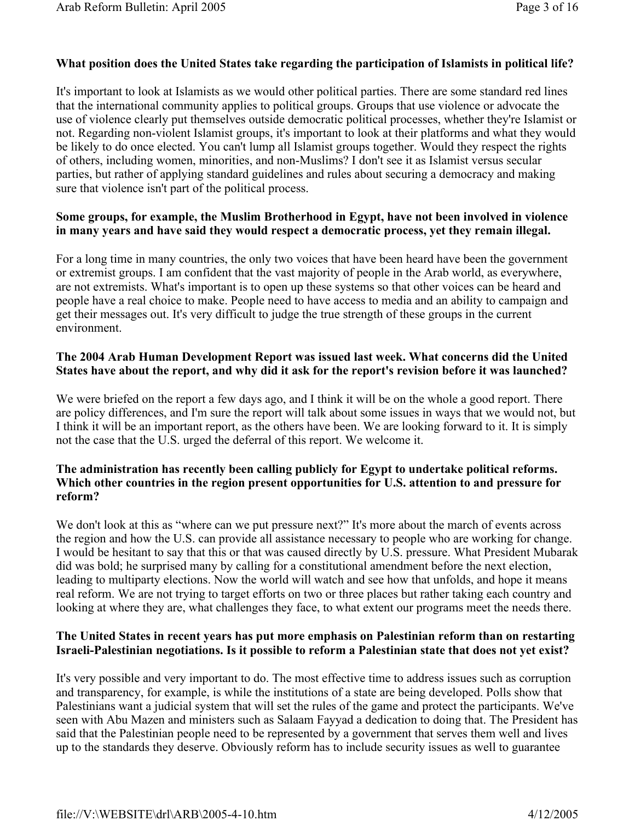### **What position does the United States take regarding the participation of Islamists in political life?**

It's important to look at Islamists as we would other political parties. There are some standard red lines that the international community applies to political groups. Groups that use violence or advocate the use of violence clearly put themselves outside democratic political processes, whether they're Islamist or not. Regarding non-violent Islamist groups, it's important to look at their platforms and what they would be likely to do once elected. You can't lump all Islamist groups together. Would they respect the rights of others, including women, minorities, and non-Muslims? I don't see it as Islamist versus secular parties, but rather of applying standard guidelines and rules about securing a democracy and making sure that violence isn't part of the political process.

# **Some groups, for example, the Muslim Brotherhood in Egypt, have not been involved in violence in many years and have said they would respect a democratic process, yet they remain illegal.**

For a long time in many countries, the only two voices that have been heard have been the government or extremist groups. I am confident that the vast majority of people in the Arab world, as everywhere, are not extremists. What's important is to open up these systems so that other voices can be heard and people have a real choice to make. People need to have access to media and an ability to campaign and get their messages out. It's very difficult to judge the true strength of these groups in the current environment.

# **The 2004 Arab Human Development Report was issued last week. What concerns did the United States have about the report, and why did it ask for the report's revision before it was launched?**

We were briefed on the report a few days ago, and I think it will be on the whole a good report. There are policy differences, and I'm sure the report will talk about some issues in ways that we would not, but I think it will be an important report, as the others have been. We are looking forward to it. It is simply not the case that the U.S. urged the deferral of this report. We welcome it.

# **The administration has recently been calling publicly for Egypt to undertake political reforms. Which other countries in the region present opportunities for U.S. attention to and pressure for reform?**

We don't look at this as "where can we put pressure next?" It's more about the march of events across the region and how the U.S. can provide all assistance necessary to people who are working for change. I would be hesitant to say that this or that was caused directly by U.S. pressure. What President Mubarak did was bold; he surprised many by calling for a constitutional amendment before the next election, leading to multiparty elections. Now the world will watch and see how that unfolds, and hope it means real reform. We are not trying to target efforts on two or three places but rather taking each country and looking at where they are, what challenges they face, to what extent our programs meet the needs there.

### **The United States in recent years has put more emphasis on Palestinian reform than on restarting Israeli-Palestinian negotiations. Is it possible to reform a Palestinian state that does not yet exist?**

It's very possible and very important to do. The most effective time to address issues such as corruption and transparency, for example, is while the institutions of a state are being developed. Polls show that Palestinians want a judicial system that will set the rules of the game and protect the participants. We've seen with Abu Mazen and ministers such as Salaam Fayyad a dedication to doing that. The President has said that the Palestinian people need to be represented by a government that serves them well and lives up to the standards they deserve. Obviously reform has to include security issues as well to guarantee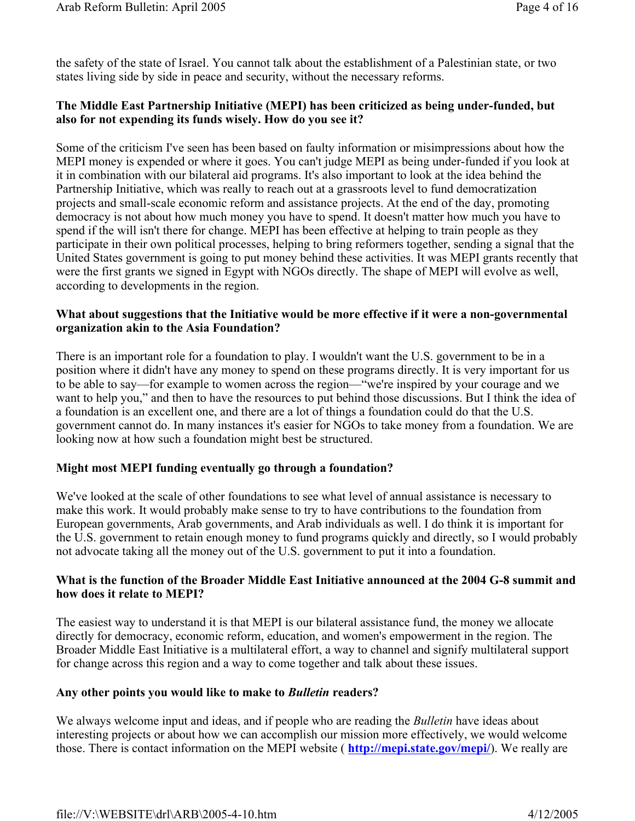the safety of the state of Israel. You cannot talk about the establishment of a Palestinian state, or two states living side by side in peace and security, without the necessary reforms.

# **The Middle East Partnership Initiative (MEPI) has been criticized as being under-funded, but also for not expending its funds wisely. How do you see it?**

Some of the criticism I've seen has been based on faulty information or misimpressions about how the MEPI money is expended or where it goes. You can't judge MEPI as being under-funded if you look at it in combination with our bilateral aid programs. It's also important to look at the idea behind the Partnership Initiative, which was really to reach out at a grassroots level to fund democratization projects and small-scale economic reform and assistance projects. At the end of the day, promoting democracy is not about how much money you have to spend. It doesn't matter how much you have to spend if the will isn't there for change. MEPI has been effective at helping to train people as they participate in their own political processes, helping to bring reformers together, sending a signal that the United States government is going to put money behind these activities. It was MEPI grants recently that were the first grants we signed in Egypt with NGOs directly. The shape of MEPI will evolve as well, according to developments in the region.

### **What about suggestions that the Initiative would be more effective if it were a non-governmental organization akin to the Asia Foundation?**

There is an important role for a foundation to play. I wouldn't want the U.S. government to be in a position where it didn't have any money to spend on these programs directly. It is very important for us to be able to say—for example to women across the region—"we're inspired by your courage and we want to help you," and then to have the resources to put behind those discussions. But I think the idea of a foundation is an excellent one, and there are a lot of things a foundation could do that the U.S. government cannot do. In many instances it's easier for NGOs to take money from a foundation. We are looking now at how such a foundation might best be structured.

# **Might most MEPI funding eventually go through a foundation?**

We've looked at the scale of other foundations to see what level of annual assistance is necessary to make this work. It would probably make sense to try to have contributions to the foundation from European governments, Arab governments, and Arab individuals as well. I do think it is important for the U.S. government to retain enough money to fund programs quickly and directly, so I would probably not advocate taking all the money out of the U.S. government to put it into a foundation.

### **What is the function of the Broader Middle East Initiative announced at the 2004 G-8 summit and how does it relate to MEPI?**

The easiest way to understand it is that MEPI is our bilateral assistance fund, the money we allocate directly for democracy, economic reform, education, and women's empowerment in the region. The Broader Middle East Initiative is a multilateral effort, a way to channel and signify multilateral support for change across this region and a way to come together and talk about these issues.

### **Any other points you would like to make to** *Bulletin* **readers?**

We always welcome input and ideas, and if people who are reading the *Bulletin* have ideas about interesting projects or about how we can accomplish our mission more effectively, we would welcome those. There is contact information on the MEPI website ( **http://mepi.state.gov/mepi/**). We really are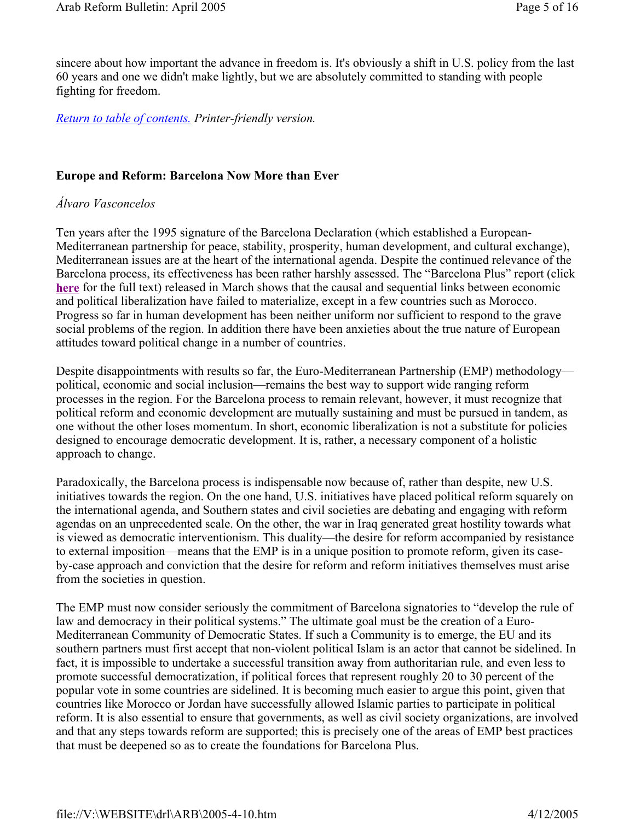sincere about how important the advance in freedom is. It's obviously a shift in U.S. policy from the last 60 years and one we didn't make lightly, but we are absolutely committed to standing with people fighting for freedom.

*Return to table of contents. Printer-friendly version.*

# **Europe and Reform: Barcelona Now More than Ever**

# *Álvaro Vasconcelos*

Ten years after the 1995 signature of the Barcelona Declaration (which established a European-Mediterranean partnership for peace, stability, prosperity, human development, and cultural exchange), Mediterranean issues are at the heart of the international agenda. Despite the continued relevance of the Barcelona process, its effectiveness has been rather harshly assessed. The "Barcelona Plus" report (click **here** for the full text) released in March shows that the causal and sequential links between economic and political liberalization have failed to materialize, except in a few countries such as Morocco. Progress so far in human development has been neither uniform nor sufficient to respond to the grave social problems of the region. In addition there have been anxieties about the true nature of European attitudes toward political change in a number of countries.

Despite disappointments with results so far, the Euro-Mediterranean Partnership (EMP) methodology political, economic and social inclusion—remains the best way to support wide ranging reform processes in the region. For the Barcelona process to remain relevant, however, it must recognize that political reform and economic development are mutually sustaining and must be pursued in tandem, as one without the other loses momentum. In short, economic liberalization is not a substitute for policies designed to encourage democratic development. It is, rather, a necessary component of a holistic approach to change.

Paradoxically, the Barcelona process is indispensable now because of, rather than despite, new U.S. initiatives towards the region. On the one hand, U.S. initiatives have placed political reform squarely on the international agenda, and Southern states and civil societies are debating and engaging with reform agendas on an unprecedented scale. On the other, the war in Iraq generated great hostility towards what is viewed as democratic interventionism. This duality—the desire for reform accompanied by resistance to external imposition—means that the EMP is in a unique position to promote reform, given its caseby-case approach and conviction that the desire for reform and reform initiatives themselves must arise from the societies in question.

The EMP must now consider seriously the commitment of Barcelona signatories to "develop the rule of law and democracy in their political systems." The ultimate goal must be the creation of a Euro-Mediterranean Community of Democratic States. If such a Community is to emerge, the EU and its southern partners must first accept that non-violent political Islam is an actor that cannot be sidelined. In fact, it is impossible to undertake a successful transition away from authoritarian rule, and even less to promote successful democratization, if political forces that represent roughly 20 to 30 percent of the popular vote in some countries are sidelined. It is becoming much easier to argue this point, given that countries like Morocco or Jordan have successfully allowed Islamic parties to participate in political reform. It is also essential to ensure that governments, as well as civil society organizations, are involved and that any steps towards reform are supported; this is precisely one of the areas of EMP best practices that must be deepened so as to create the foundations for Barcelona Plus.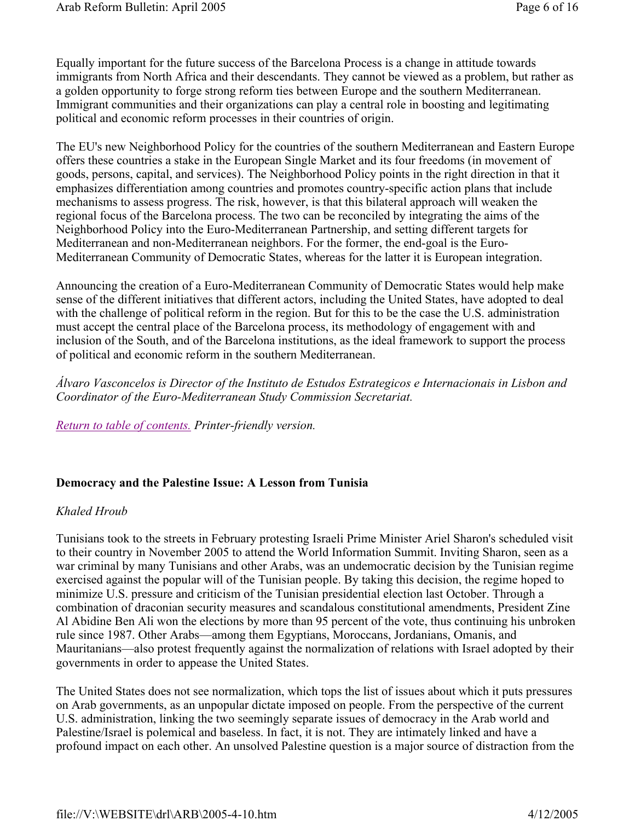Equally important for the future success of the Barcelona Process is a change in attitude towards immigrants from North Africa and their descendants. They cannot be viewed as a problem, but rather as a golden opportunity to forge strong reform ties between Europe and the southern Mediterranean. Immigrant communities and their organizations can play a central role in boosting and legitimating political and economic reform processes in their countries of origin.

The EU's new Neighborhood Policy for the countries of the southern Mediterranean and Eastern Europe offers these countries a stake in the European Single Market and its four freedoms (in movement of goods, persons, capital, and services). The Neighborhood Policy points in the right direction in that it emphasizes differentiation among countries and promotes country-specific action plans that include mechanisms to assess progress. The risk, however, is that this bilateral approach will weaken the regional focus of the Barcelona process. The two can be reconciled by integrating the aims of the Neighborhood Policy into the Euro-Mediterranean Partnership, and setting different targets for Mediterranean and non-Mediterranean neighbors. For the former, the end-goal is the Euro-Mediterranean Community of Democratic States, whereas for the latter it is European integration.

Announcing the creation of a Euro-Mediterranean Community of Democratic States would help make sense of the different initiatives that different actors, including the United States, have adopted to deal with the challenge of political reform in the region. But for this to be the case the U.S. administration must accept the central place of the Barcelona process, its methodology of engagement with and inclusion of the South, and of the Barcelona institutions, as the ideal framework to support the process of political and economic reform in the southern Mediterranean.

*Álvaro Vasconcelos is Director of the Instituto de Estudos Estrategicos e Internacionais in Lisbon and Coordinator of the Euro-Mediterranean Study Commission Secretariat.* 

*Return to table of contents. Printer-friendly version.*

### **Democracy and the Palestine Issue: A Lesson from Tunisia**

### *Khaled Hroub*

Tunisians took to the streets in February protesting Israeli Prime Minister Ariel Sharon's scheduled visit to their country in November 2005 to attend the World Information Summit. Inviting Sharon, seen as a war criminal by many Tunisians and other Arabs, was an undemocratic decision by the Tunisian regime exercised against the popular will of the Tunisian people. By taking this decision, the regime hoped to minimize U.S. pressure and criticism of the Tunisian presidential election last October. Through a combination of draconian security measures and scandalous constitutional amendments, President Zine Al Abidine Ben Ali won the elections by more than 95 percent of the vote, thus continuing his unbroken rule since 1987. Other Arabs—among them Egyptians, Moroccans, Jordanians, Omanis, and Mauritanians—also protest frequently against the normalization of relations with Israel adopted by their governments in order to appease the United States.

The United States does not see normalization, which tops the list of issues about which it puts pressures on Arab governments, as an unpopular dictate imposed on people. From the perspective of the current U.S. administration, linking the two seemingly separate issues of democracy in the Arab world and Palestine/Israel is polemical and baseless. In fact, it is not. They are intimately linked and have a profound impact on each other. An unsolved Palestine question is a major source of distraction from the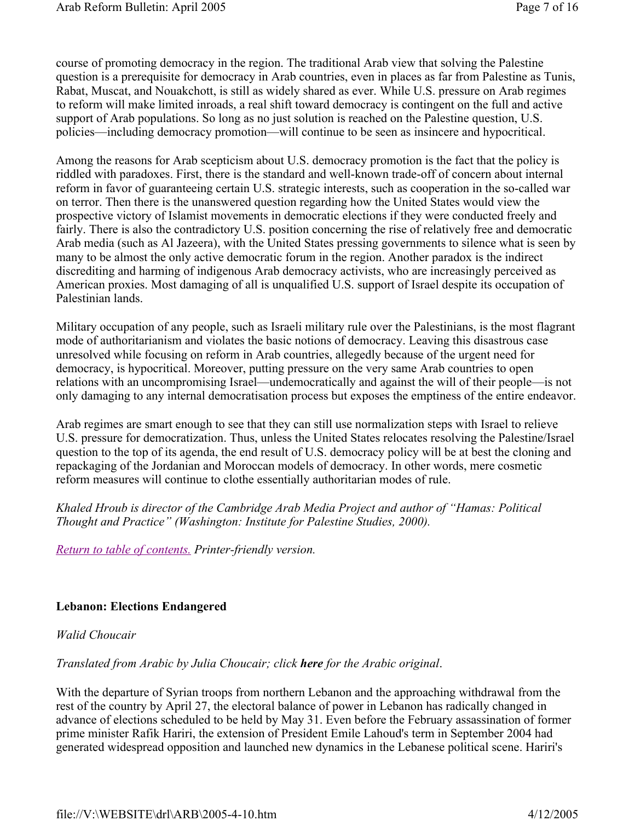course of promoting democracy in the region. The traditional Arab view that solving the Palestine question is a prerequisite for democracy in Arab countries, even in places as far from Palestine as Tunis, Rabat, Muscat, and Nouakchott, is still as widely shared as ever. While U.S. pressure on Arab regimes to reform will make limited inroads, a real shift toward democracy is contingent on the full and active support of Arab populations. So long as no just solution is reached on the Palestine question, U.S. policies—including democracy promotion—will continue to be seen as insincere and hypocritical.

Among the reasons for Arab scepticism about U.S. democracy promotion is the fact that the policy is riddled with paradoxes. First, there is the standard and well-known trade-off of concern about internal reform in favor of guaranteeing certain U.S. strategic interests, such as cooperation in the so-called war on terror. Then there is the unanswered question regarding how the United States would view the prospective victory of Islamist movements in democratic elections if they were conducted freely and fairly. There is also the contradictory U.S. position concerning the rise of relatively free and democratic Arab media (such as Al Jazeera), with the United States pressing governments to silence what is seen by many to be almost the only active democratic forum in the region. Another paradox is the indirect discrediting and harming of indigenous Arab democracy activists, who are increasingly perceived as American proxies. Most damaging of all is unqualified U.S. support of Israel despite its occupation of Palestinian lands.

Military occupation of any people, such as Israeli military rule over the Palestinians, is the most flagrant mode of authoritarianism and violates the basic notions of democracy. Leaving this disastrous case unresolved while focusing on reform in Arab countries, allegedly because of the urgent need for democracy, is hypocritical. Moreover, putting pressure on the very same Arab countries to open relations with an uncompromising Israel—undemocratically and against the will of their people—is not only damaging to any internal democratisation process but exposes the emptiness of the entire endeavor.

Arab regimes are smart enough to see that they can still use normalization steps with Israel to relieve U.S. pressure for democratization. Thus, unless the United States relocates resolving the Palestine/Israel question to the top of its agenda, the end result of U.S. democracy policy will be at best the cloning and repackaging of the Jordanian and Moroccan models of democracy. In other words, mere cosmetic reform measures will continue to clothe essentially authoritarian modes of rule.

*Khaled Hroub is director of the Cambridge Arab Media Project and author of "Hamas: Political Thought and Practice" (Washington: Institute for Palestine Studies, 2000).* 

*Return to table of contents. Printer-friendly version.*

# **Lebanon: Elections Endangered**

### *Walid Choucair*

*Translated from Arabic by Julia Choucair; click here for the Arabic original*.

With the departure of Syrian troops from northern Lebanon and the approaching withdrawal from the rest of the country by April 27, the electoral balance of power in Lebanon has radically changed in advance of elections scheduled to be held by May 31. Even before the February assassination of former prime minister Rafik Hariri, the extension of President Emile Lahoud's term in September 2004 had generated widespread opposition and launched new dynamics in the Lebanese political scene. Hariri's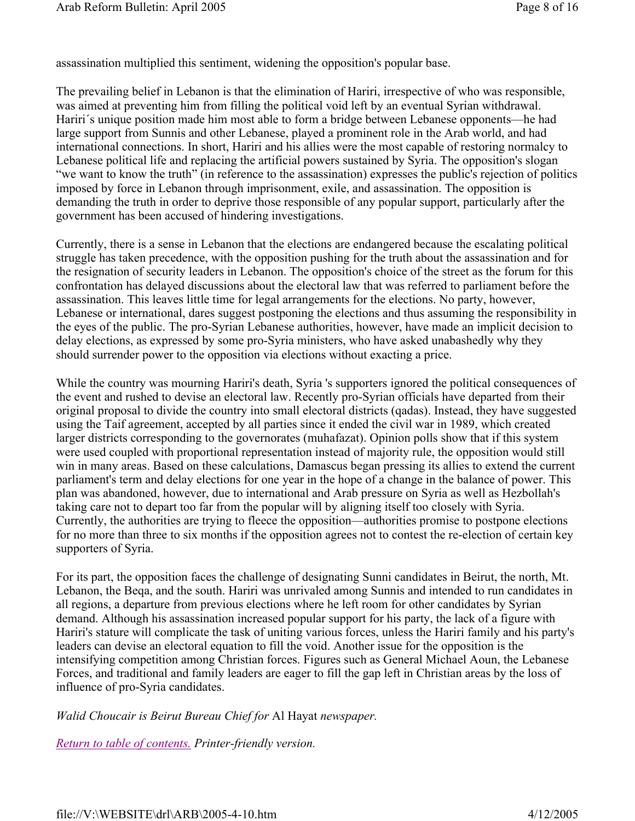assassination multiplied this sentiment, widening the opposition's popular base.

The prevailing belief in Lebanon is that the elimination of Hariri, irrespective of who was responsible, was aimed at preventing him from filling the political void left by an eventual Syrian withdrawal. Hariri´s unique position made him most able to form a bridge between Lebanese opponents—he had large support from Sunnis and other Lebanese, played a prominent role in the Arab world, and had international connections. In short, Hariri and his allies were the most capable of restoring normalcy to Lebanese political life and replacing the artificial powers sustained by Syria. The opposition's slogan "we want to know the truth" (in reference to the assassination) expresses the public's rejection of politics imposed by force in Lebanon through imprisonment, exile, and assassination. The opposition is demanding the truth in order to deprive those responsible of any popular support, particularly after the government has been accused of hindering investigations.

Currently, there is a sense in Lebanon that the elections are endangered because the escalating political struggle has taken precedence, with the opposition pushing for the truth about the assassination and for the resignation of security leaders in Lebanon. The opposition's choice of the street as the forum for this confrontation has delayed discussions about the electoral law that was referred to parliament before the assassination. This leaves little time for legal arrangements for the elections. No party, however, Lebanese or international, dares suggest postponing the elections and thus assuming the responsibility in the eyes of the public. The pro-Syrian Lebanese authorities, however, have made an implicit decision to delay elections, as expressed by some pro-Syria ministers, who have asked unabashedly why they should surrender power to the opposition via elections without exacting a price.

While the country was mourning Hariri's death, Syria 's supporters ignored the political consequences of the event and rushed to devise an electoral law. Recently pro-Syrian officials have departed from their original proposal to divide the country into small electoral districts (qadas). Instead, they have suggested using the Taif agreement, accepted by all parties since it ended the civil war in 1989, which created larger districts corresponding to the governorates (muhafazat). Opinion polls show that if this system were used coupled with proportional representation instead of majority rule, the opposition would still win in many areas. Based on these calculations, Damascus began pressing its allies to extend the current parliament's term and delay elections for one year in the hope of a change in the balance of power. This plan was abandoned, however, due to international and Arab pressure on Syria as well as Hezbollah's taking care not to depart too far from the popular will by aligning itself too closely with Syria. Currently, the authorities are trying to fleece the opposition—authorities promise to postpone elections for no more than three to six months if the opposition agrees not to contest the re-election of certain key supporters of Syria.

For its part, the opposition faces the challenge of designating Sunni candidates in Beirut, the north, Mt. Lebanon, the Beqa, and the south. Hariri was unrivaled among Sunnis and intended to run candidates in all regions, a departure from previous elections where he left room for other candidates by Syrian demand. Although his assassination increased popular support for his party, the lack of a figure with Hariri's stature will complicate the task of uniting various forces, unless the Hariri family and his party's leaders can devise an electoral equation to fill the void. Another issue for the opposition is the intensifying competition among Christian forces. Figures such as General Michael Aoun, the Lebanese Forces, and traditional and family leaders are eager to fill the gap left in Christian areas by the loss of influence of pro-Syria candidates.

*Walid Choucair is Beirut Bureau Chief for* Al Hayat *newspaper.* 

*Return to table of contents. Printer-friendly version.*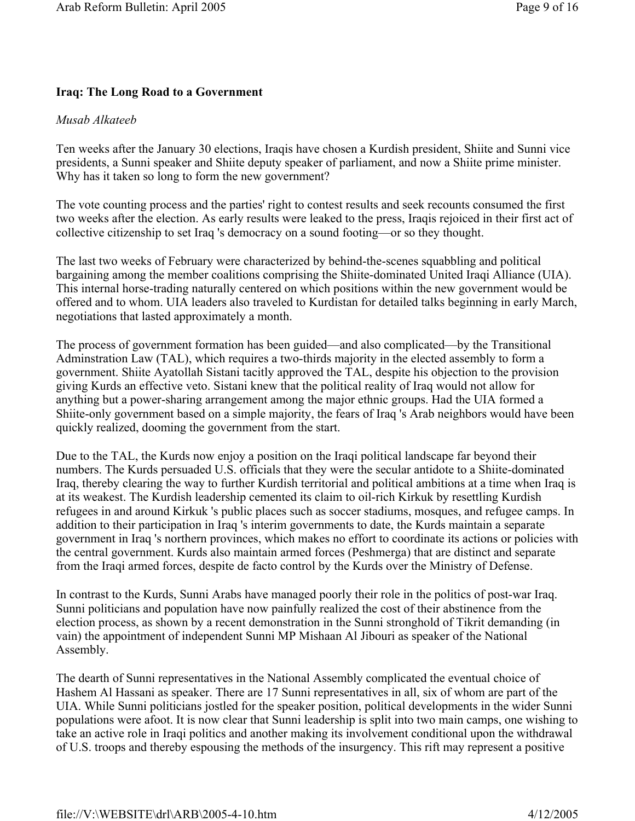### **Iraq: The Long Road to a Government**

#### *Musab Alkateeb*

Ten weeks after the January 30 elections, Iraqis have chosen a Kurdish president, Shiite and Sunni vice presidents, a Sunni speaker and Shiite deputy speaker of parliament, and now a Shiite prime minister. Why has it taken so long to form the new government?

The vote counting process and the parties' right to contest results and seek recounts consumed the first two weeks after the election. As early results were leaked to the press, Iraqis rejoiced in their first act of collective citizenship to set Iraq 's democracy on a sound footing—or so they thought.

The last two weeks of February were characterized by behind-the-scenes squabbling and political bargaining among the member coalitions comprising the Shiite-dominated United Iraqi Alliance (UIA). This internal horse-trading naturally centered on which positions within the new government would be offered and to whom. UIA leaders also traveled to Kurdistan for detailed talks beginning in early March, negotiations that lasted approximately a month.

The process of government formation has been guided—and also complicated—by the Transitional Adminstration Law (TAL), which requires a two-thirds majority in the elected assembly to form a government. Shiite Ayatollah Sistani tacitly approved the TAL, despite his objection to the provision giving Kurds an effective veto. Sistani knew that the political reality of Iraq would not allow for anything but a power-sharing arrangement among the major ethnic groups. Had the UIA formed a Shiite-only government based on a simple majority, the fears of Iraq 's Arab neighbors would have been quickly realized, dooming the government from the start.

Due to the TAL, the Kurds now enjoy a position on the Iraqi political landscape far beyond their numbers. The Kurds persuaded U.S. officials that they were the secular antidote to a Shiite-dominated Iraq, thereby clearing the way to further Kurdish territorial and political ambitions at a time when Iraq is at its weakest. The Kurdish leadership cemented its claim to oil-rich Kirkuk by resettling Kurdish refugees in and around Kirkuk 's public places such as soccer stadiums, mosques, and refugee camps. In addition to their participation in Iraq 's interim governments to date, the Kurds maintain a separate government in Iraq 's northern provinces, which makes no effort to coordinate its actions or policies with the central government. Kurds also maintain armed forces (Peshmerga) that are distinct and separate from the Iraqi armed forces, despite de facto control by the Kurds over the Ministry of Defense.

In contrast to the Kurds, Sunni Arabs have managed poorly their role in the politics of post-war Iraq. Sunni politicians and population have now painfully realized the cost of their abstinence from the election process, as shown by a recent demonstration in the Sunni stronghold of Tikrit demanding (in vain) the appointment of independent Sunni MP Mishaan Al Jibouri as speaker of the National Assembly.

The dearth of Sunni representatives in the National Assembly complicated the eventual choice of Hashem Al Hassani as speaker. There are 17 Sunni representatives in all, six of whom are part of the UIA. While Sunni politicians jostled for the speaker position, political developments in the wider Sunni populations were afoot. It is now clear that Sunni leadership is split into two main camps, one wishing to take an active role in Iraqi politics and another making its involvement conditional upon the withdrawal of U.S. troops and thereby espousing the methods of the insurgency. This rift may represent a positive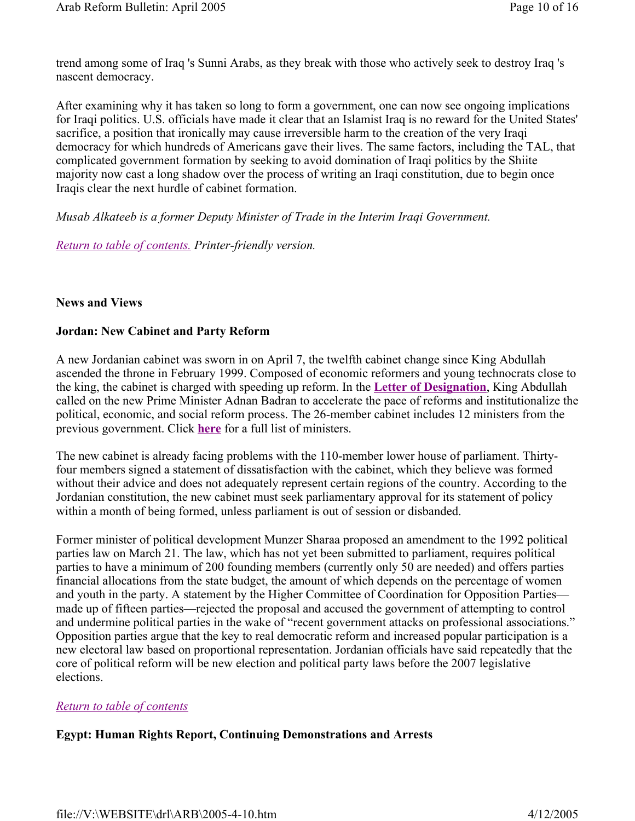trend among some of Iraq 's Sunni Arabs, as they break with those who actively seek to destroy Iraq 's nascent democracy.

After examining why it has taken so long to form a government, one can now see ongoing implications for Iraqi politics. U.S. officials have made it clear that an Islamist Iraq is no reward for the United States' sacrifice, a position that ironically may cause irreversible harm to the creation of the very Iraqi democracy for which hundreds of Americans gave their lives. The same factors, including the TAL, that complicated government formation by seeking to avoid domination of Iraqi politics by the Shiite majority now cast a long shadow over the process of writing an Iraqi constitution, due to begin once Iraqis clear the next hurdle of cabinet formation.

*Musab Alkateeb is a former Deputy Minister of Trade in the Interim Iraqi Government.* 

*Return to table of contents. Printer-friendly version.*

### **News and Views**

### **Jordan: New Cabinet and Party Reform**

A new Jordanian cabinet was sworn in on April 7, the twelfth cabinet change since King Abdullah ascended the throne in February 1999. Composed of economic reformers and young technocrats close to the king, the cabinet is charged with speeding up reform. In the **Letter of Designation**, King Abdullah called on the new Prime Minister Adnan Badran to accelerate the pace of reforms and institutionalize the political, economic, and social reform process. The 26-member cabinet includes 12 ministers from the previous government. Click **here** for a full list of ministers.

The new cabinet is already facing problems with the 110-member lower house of parliament. Thirtyfour members signed a statement of dissatisfaction with the cabinet, which they believe was formed without their advice and does not adequately represent certain regions of the country. According to the Jordanian constitution, the new cabinet must seek parliamentary approval for its statement of policy within a month of being formed, unless parliament is out of session or disbanded.

Former minister of political development Munzer Sharaa proposed an amendment to the 1992 political parties law on March 21. The law, which has not yet been submitted to parliament, requires political parties to have a minimum of 200 founding members (currently only 50 are needed) and offers parties financial allocations from the state budget, the amount of which depends on the percentage of women and youth in the party. A statement by the Higher Committee of Coordination for Opposition Parties made up of fifteen parties—rejected the proposal and accused the government of attempting to control and undermine political parties in the wake of "recent government attacks on professional associations." Opposition parties argue that the key to real democratic reform and increased popular participation is a new electoral law based on proportional representation. Jordanian officials have said repeatedly that the core of political reform will be new election and political party laws before the 2007 legislative elections.

### *Return to table of contents*

# **Egypt: Human Rights Report, Continuing Demonstrations and Arrests**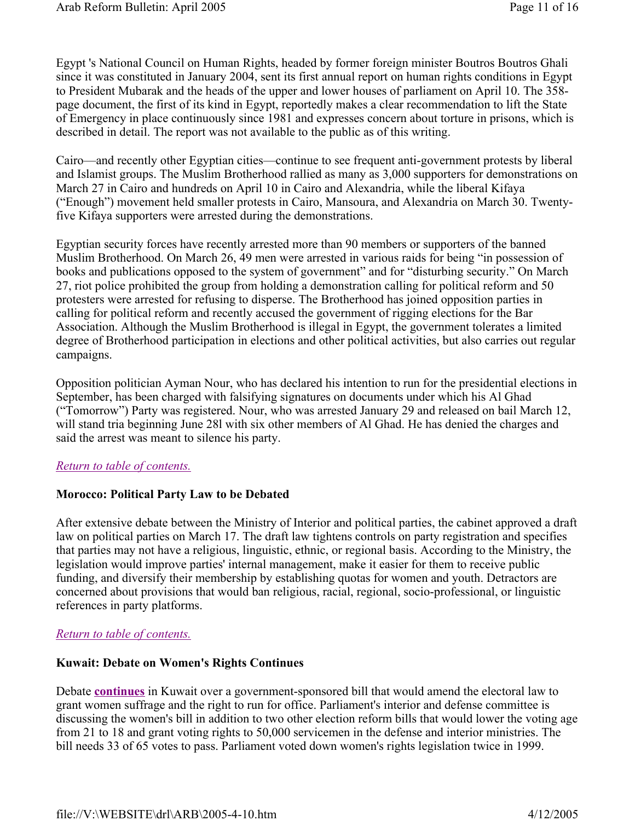Egypt 's National Council on Human Rights, headed by former foreign minister Boutros Boutros Ghali since it was constituted in January 2004, sent its first annual report on human rights conditions in Egypt to President Mubarak and the heads of the upper and lower houses of parliament on April 10. The 358 page document, the first of its kind in Egypt, reportedly makes a clear recommendation to lift the State of Emergency in place continuously since 1981 and expresses concern about torture in prisons, which is described in detail. The report was not available to the public as of this writing.

Cairo—and recently other Egyptian cities—continue to see frequent anti-government protests by liberal and Islamist groups. The Muslim Brotherhood rallied as many as 3,000 supporters for demonstrations on March 27 in Cairo and hundreds on April 10 in Cairo and Alexandria, while the liberal Kifaya ("Enough") movement held smaller protests in Cairo, Mansoura, and Alexandria on March 30. Twentyfive Kifaya supporters were arrested during the demonstrations.

Egyptian security forces have recently arrested more than 90 members or supporters of the banned Muslim Brotherhood. On March 26, 49 men were arrested in various raids for being "in possession of books and publications opposed to the system of government" and for "disturbing security." On March 27, riot police prohibited the group from holding a demonstration calling for political reform and 50 protesters were arrested for refusing to disperse. The Brotherhood has joined opposition parties in calling for political reform and recently accused the government of rigging elections for the Bar Association. Although the Muslim Brotherhood is illegal in Egypt, the government tolerates a limited degree of Brotherhood participation in elections and other political activities, but also carries out regular campaigns.

Opposition politician Ayman Nour, who has declared his intention to run for the presidential elections in September, has been charged with falsifying signatures on documents under which his Al Ghad ("Tomorrow") Party was registered. Nour, who was arrested January 29 and released on bail March 12, will stand tria beginning June 28l with six other members of Al Ghad. He has denied the charges and said the arrest was meant to silence his party.

### *Return to table of contents.*

### **Morocco: Political Party Law to be Debated**

After extensive debate between the Ministry of Interior and political parties, the cabinet approved a draft law on political parties on March 17. The draft law tightens controls on party registration and specifies that parties may not have a religious, linguistic, ethnic, or regional basis. According to the Ministry, the legislation would improve parties' internal management, make it easier for them to receive public funding, and diversify their membership by establishing quotas for women and youth. Detractors are concerned about provisions that would ban religious, racial, regional, socio-professional, or linguistic references in party platforms.

#### *Return to table of contents.*

#### **Kuwait: Debate on Women's Rights Continues**

Debate **continues** in Kuwait over a government-sponsored bill that would amend the electoral law to grant women suffrage and the right to run for office. Parliament's interior and defense committee is discussing the women's bill in addition to two other election reform bills that would lower the voting age from 21 to 18 and grant voting rights to 50,000 servicemen in the defense and interior ministries. The bill needs 33 of 65 votes to pass. Parliament voted down women's rights legislation twice in 1999.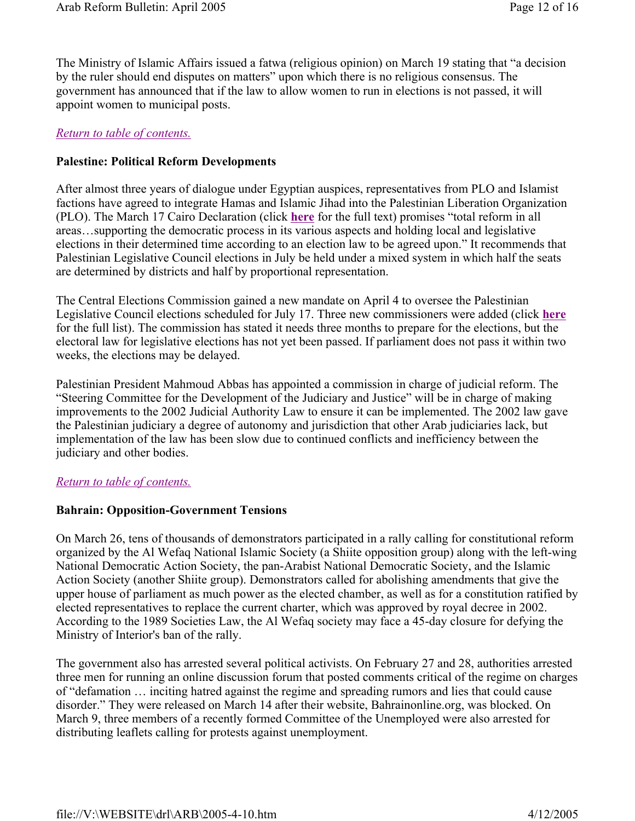The Ministry of Islamic Affairs issued a fatwa (religious opinion) on March 19 stating that "a decision by the ruler should end disputes on matters" upon which there is no religious consensus. The government has announced that if the law to allow women to run in elections is not passed, it will appoint women to municipal posts.

### *Return to table of contents.*

### **Palestine: Political Reform Developments**

After almost three years of dialogue under Egyptian auspices, representatives from PLO and Islamist factions have agreed to integrate Hamas and Islamic Jihad into the Palestinian Liberation Organization (PLO). The March 17 Cairo Declaration (click **here** for the full text) promises "total reform in all areas…supporting the democratic process in its various aspects and holding local and legislative elections in their determined time according to an election law to be agreed upon." It recommends that Palestinian Legislative Council elections in July be held under a mixed system in which half the seats are determined by districts and half by proportional representation.

The Central Elections Commission gained a new mandate on April 4 to oversee the Palestinian Legislative Council elections scheduled for July 17. Three new commissioners were added (click **here** for the full list). The commission has stated it needs three months to prepare for the elections, but the electoral law for legislative elections has not yet been passed. If parliament does not pass it within two weeks, the elections may be delayed.

Palestinian President Mahmoud Abbas has appointed a commission in charge of judicial reform. The "Steering Committee for the Development of the Judiciary and Justice" will be in charge of making improvements to the 2002 Judicial Authority Law to ensure it can be implemented. The 2002 law gave the Palestinian judiciary a degree of autonomy and jurisdiction that other Arab judiciaries lack, but implementation of the law has been slow due to continued conflicts and inefficiency between the judiciary and other bodies.

### *Return to table of contents.*

### **Bahrain: Opposition-Government Tensions**

On March 26, tens of thousands of demonstrators participated in a rally calling for constitutional reform organized by the Al Wefaq National Islamic Society (a Shiite opposition group) along with the left-wing National Democratic Action Society, the pan-Arabist National Democratic Society, and the Islamic Action Society (another Shiite group). Demonstrators called for abolishing amendments that give the upper house of parliament as much power as the elected chamber, as well as for a constitution ratified by elected representatives to replace the current charter, which was approved by royal decree in 2002. According to the 1989 Societies Law, the Al Wefaq society may face a 45-day closure for defying the Ministry of Interior's ban of the rally.

The government also has arrested several political activists. On February 27 and 28, authorities arrested three men for running an online discussion forum that posted comments critical of the regime on charges of "defamation … inciting hatred against the regime and spreading rumors and lies that could cause disorder." They were released on March 14 after their website, Bahrainonline.org, was blocked. On March 9, three members of a recently formed Committee of the Unemployed were also arrested for distributing leaflets calling for protests against unemployment.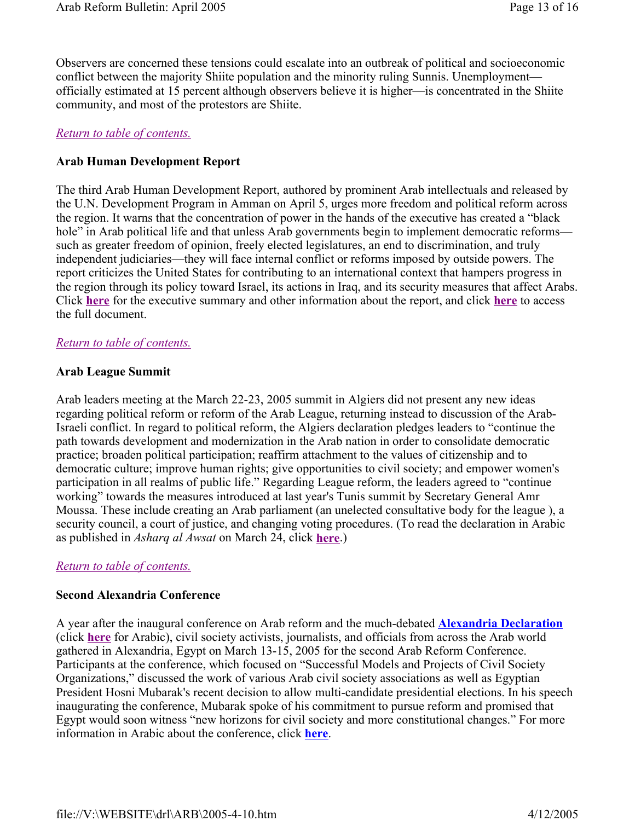Observers are concerned these tensions could escalate into an outbreak of political and socioeconomic conflict between the majority Shiite population and the minority ruling Sunnis. Unemployment officially estimated at 15 percent although observers believe it is higher—is concentrated in the Shiite community, and most of the protestors are Shiite.

### *Return to table of contents.*

# **Arab Human Development Report**

The third Arab Human Development Report, authored by prominent Arab intellectuals and released by the U.N. Development Program in Amman on April 5, urges more freedom and political reform across the region. It warns that the concentration of power in the hands of the executive has created a "black hole" in Arab political life and that unless Arab governments begin to implement democratic reforms such as greater freedom of opinion, freely elected legislatures, an end to discrimination, and truly independent judiciaries—they will face internal conflict or reforms imposed by outside powers. The report criticizes the United States for contributing to an international context that hampers progress in the region through its policy toward Israel, its actions in Iraq, and its security measures that affect Arabs. Click **here** for the executive summary and other information about the report, and click **here** to access the full document.

### *Return to table of contents.*

### **Arab League Summit**

Arab leaders meeting at the March 22-23, 2005 summit in Algiers did not present any new ideas regarding political reform or reform of the Arab League, returning instead to discussion of the Arab-Israeli conflict. In regard to political reform, the Algiers declaration pledges leaders to "continue the path towards development and modernization in the Arab nation in order to consolidate democratic practice; broaden political participation; reaffirm attachment to the values of citizenship and to democratic culture; improve human rights; give opportunities to civil society; and empower women's participation in all realms of public life." Regarding League reform, the leaders agreed to "continue working" towards the measures introduced at last year's Tunis summit by Secretary General Amr Moussa. These include creating an Arab parliament (an unelected consultative body for the league ), a security council, a court of justice, and changing voting procedures. (To read the declaration in Arabic as published in *Asharq al Awsat* on March 24, click **here**.)

### *Return to table of contents.*

### **Second Alexandria Conference**

A year after the inaugural conference on Arab reform and the much-debated **Alexandria Declaration**  (click **here** for Arabic), civil society activists, journalists, and officials from across the Arab world gathered in Alexandria, Egypt on March 13-15, 2005 for the second Arab Reform Conference. Participants at the conference, which focused on "Successful Models and Projects of Civil Society Organizations," discussed the work of various Arab civil society associations as well as Egyptian President Hosni Mubarak's recent decision to allow multi-candidate presidential elections. In his speech inaugurating the conference, Mubarak spoke of his commitment to pursue reform and promised that Egypt would soon witness "new horizons for civil society and more constitutional changes." For more information in Arabic about the conference, click **here**.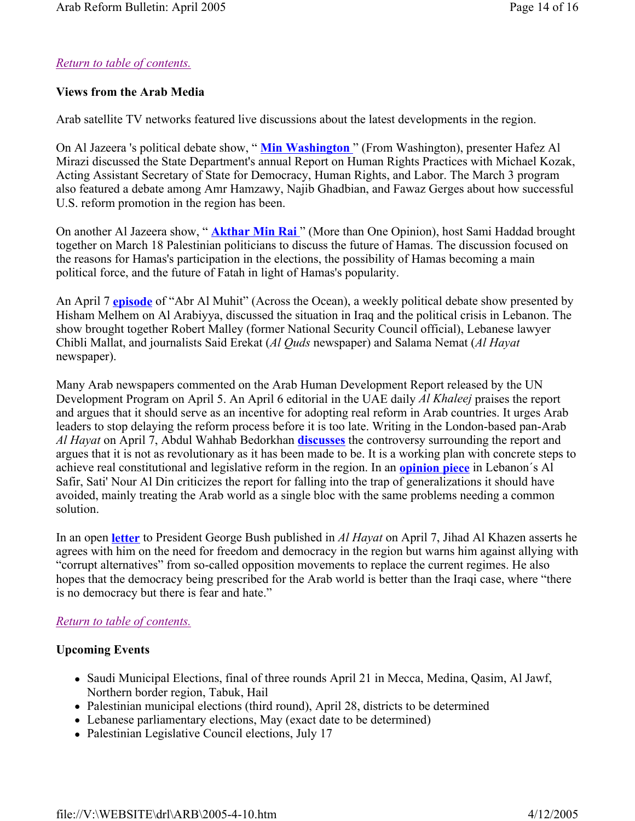# *Return to table of contents.*

### **Views from the Arab Media**

Arab satellite TV networks featured live discussions about the latest developments in the region.

On Al Jazeera 's political debate show, " **Min Washington** " (From Washington), presenter Hafez Al Mirazi discussed the State Department's annual Report on Human Rights Practices with Michael Kozak, Acting Assistant Secretary of State for Democracy, Human Rights, and Labor. The March 3 program also featured a debate among Amr Hamzawy, Najib Ghadbian, and Fawaz Gerges about how successful U.S. reform promotion in the region has been.

On another Al Jazeera show, " **Akthar Min Rai** " (More than One Opinion), host Sami Haddad brought together on March 18 Palestinian politicians to discuss the future of Hamas. The discussion focused on the reasons for Hamas's participation in the elections, the possibility of Hamas becoming a main political force, and the future of Fatah in light of Hamas's popularity.

An April 7 **episode** of "Abr Al Muhit" (Across the Ocean), a weekly political debate show presented by Hisham Melhem on Al Arabiyya, discussed the situation in Iraq and the political crisis in Lebanon. The show brought together Robert Malley (former National Security Council official), Lebanese lawyer Chibli Mallat, and journalists Said Erekat (*Al Quds* newspaper) and Salama Nemat (*Al Hayat*  newspaper).

Many Arab newspapers commented on the Arab Human Development Report released by the UN Development Program on April 5. An April 6 editorial in the UAE daily *Al Khaleej* praises the report and argues that it should serve as an incentive for adopting real reform in Arab countries. It urges Arab leaders to stop delaying the reform process before it is too late. Writing in the London-based pan-Arab *Al Hayat* on April 7, Abdul Wahhab Bedorkhan **discusses** the controversy surrounding the report and argues that it is not as revolutionary as it has been made to be. It is a working plan with concrete steps to achieve real constitutional and legislative reform in the region. In an **opinion piece** in Lebanon´s Al Safir, Sati' Nour Al Din criticizes the report for falling into the trap of generalizations it should have avoided, mainly treating the Arab world as a single bloc with the same problems needing a common solution.

In an open **letter** to President George Bush published in *Al Hayat* on April 7, Jihad Al Khazen asserts he agrees with him on the need for freedom and democracy in the region but warns him against allying with "corrupt alternatives" from so-called opposition movements to replace the current regimes. He also hopes that the democracy being prescribed for the Arab world is better than the Iraqi case, where "there is no democracy but there is fear and hate."

# *Return to table of contents.*

### **Upcoming Events**

- Saudi Municipal Elections, final of three rounds April 21 in Mecca, Medina, Qasim, Al Jawf, Northern border region, Tabuk, Hail
- Palestinian municipal elections (third round), April 28, districts to be determined
- Lebanese parliamentary elections, May (exact date to be determined)
- Palestinian Legislative Council elections, July 17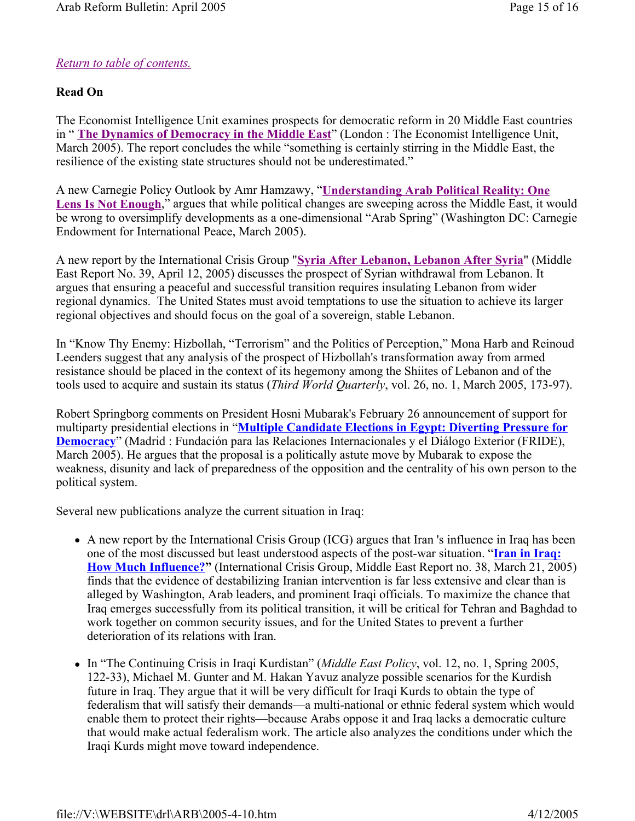# *Return to table of contents.*

# **Read On**

The Economist Intelligence Unit examines prospects for democratic reform in 20 Middle East countries in " **The Dynamics of Democracy in the Middle East**" (London : The Economist Intelligence Unit, March 2005). The report concludes the while "something is certainly stirring in the Middle East, the resilience of the existing state structures should not be underestimated."

A new Carnegie Policy Outlook by Amr Hamzawy, "**Understanding Arab Political Reality: One**  Lens Is Not Enough," argues that while political changes are sweeping across the Middle East, it would be wrong to oversimplify developments as a one-dimensional "Arab Spring" (Washington DC: Carnegie Endowment for International Peace, March 2005).

A new report by the International Crisis Group "**Syria After Lebanon, Lebanon After Syria**" (Middle East Report No. 39, April 12, 2005) discusses the prospect of Syrian withdrawal from Lebanon. It argues that ensuring a peaceful and successful transition requires insulating Lebanon from wider regional dynamics. The United States must avoid temptations to use the situation to achieve its larger regional objectives and should focus on the goal of a sovereign, stable Lebanon.

In "Know Thy Enemy: Hizbollah, "Terrorism" and the Politics of Perception," Mona Harb and Reinoud Leenders suggest that any analysis of the prospect of Hizbollah's transformation away from armed resistance should be placed in the context of its hegemony among the Shiites of Lebanon and of the tools used to acquire and sustain its status (*Third World Quarterly*, vol. 26, no. 1, March 2005, 173-97).

Robert Springborg comments on President Hosni Mubarak's February 26 announcement of support for multiparty presidential elections in "**Multiple Candidate Elections in Egypt: Diverting Pressure for Democracy**" (Madrid : Fundación para las Relaciones Internacionales y el Diálogo Exterior (FRIDE), March 2005). He argues that the proposal is a politically astute move by Mubarak to expose the weakness, disunity and lack of preparedness of the opposition and the centrality of his own person to the political system.

Several new publications analyze the current situation in Iraq:

- A new report by the International Crisis Group (ICG) argues that Iran 's influence in Iraq has been one of the most discussed but least understood aspects of the post-war situation. "**Iran in Iraq: How Much Influence?"** (International Crisis Group, Middle East Report no. 38, March 21, 2005) finds that the evidence of destabilizing Iranian intervention is far less extensive and clear than is alleged by Washington, Arab leaders, and prominent Iraqi officials. To maximize the chance that Iraq emerges successfully from its political transition, it will be critical for Tehran and Baghdad to work together on common security issues, and for the United States to prevent a further deterioration of its relations with Iran.
- In "The Continuing Crisis in Iraqi Kurdistan" (*Middle East Policy*, vol. 12, no. 1, Spring 2005, 122-33), Michael M. Gunter and M. Hakan Yavuz analyze possible scenarios for the Kurdish future in Iraq. They argue that it will be very difficult for Iraqi Kurds to obtain the type of federalism that will satisfy their demands—a multi-national or ethnic federal system which would enable them to protect their rights—because Arabs oppose it and Iraq lacks a democratic culture that would make actual federalism work. The article also analyzes the conditions under which the Iraqi Kurds might move toward independence.